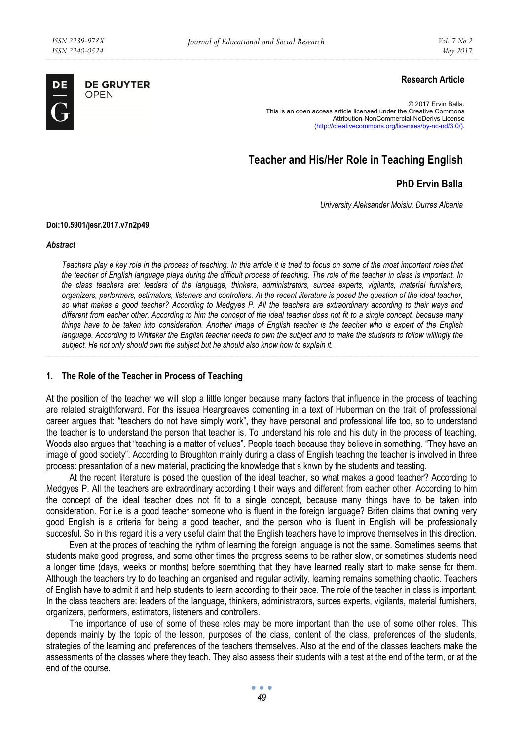

**DE GRUYTER** OPEN

## **Research Article**

© 2017 Ervin Balla. This is an open access article licensed under the Creative Commons Attribution-NonCommercial-NoDerivs License (http://creativecommons.org/licenses/by-nc-nd/3.0/).

# **Teacher and His/Her Role in Teaching English**

## **PhD Ervin Balla**

*University Aleksander Moisiu, Durres Albania* 

#### **Doi:10.5901/jesr.2017.v7n2p49**

*Abstract* 

*Teachers play e key role in the process of teaching. In this article it is tried to focus on some of the most important roles that the teacher of English language plays during the difficult process of teaching. The role of the teacher in class is important. In the class teachers are: leaders of the language, thinkers, administrators, surces experts, vigilants, material furnishers, organizers, performers, estimators, listeners and controllers. At the recent literature is posed the question of the ideal teacher, so what makes a good teacher? According to Medgyes P. All the teachers are extraordinary according to their ways and different from eacher other. According to him the concept of the ideal teacher does not fit to a single concept, because many things have to be taken into consideration. Another image of English teacher is the teacher who is expert of the English* language. According to Whitaker the English teacher needs to own the subject and to make the students to follow willingly the *subject. He not only should own the subject but he should also know how to explain it.* 

## **1. The Role of the Teacher in Process of Teaching**

At the position of the teacher we will stop a little longer because many factors that influence in the process of teaching are related straigthforward. For ths issuea Heargreaves comenting in a text of Huberman on the trait of professsional career argues that: "teachers do not have simply work", they have personal and professional life too, so to understand the teacher is to understand the person that teacher is. To understand his role and his duty in the process of teaching, Woods also argues that "teaching is a matter of values". People teach because they believe in something. "They have an image of good society". According to Broughton mainly during a class of English teachng the teacher is involved in three process: presantation of a new material, practicing the knowledge that s knwn by the students and teasting.

At the recent literature is posed the question of the ideal teacher, so what makes a good teacher? According to Medgyes P. All the teachers are extraordinary according t their ways and different from eacher other. According to him the concept of the ideal teacher does not fit to a single concept, because many things have to be taken into consideration. For i.e is a good teacher someone who is fluent in the foreign language? Briten claims that owning very good English is a criteria for being a good teacher, and the person who is fluent in English will be professionally succesful. So in this regard it is a very useful claim that the English teachers have to improve themselves in this direction.

Even at the proces of teaching the rythm of learning the foreign language is not the same. Sometimes seems that students make good progress, and some other times the progress seems to be rather slow, or sometimes students need a longer time (days, weeks or months) before soemthing that they have learned really start to make sense for them. Although the teachers try to do teaching an organised and regular activity, learning remains something chaotic. Teachers of English have to admit it and help students to learn according to their pace. The role of the teacher in class is important. In the class teachers are: leaders of the language, thinkers, administrators, surces experts, vigilants, material furnishers, organizers, performers, estimators, listeners and controllers.

The importance of use of some of these roles may be more important than the use of some other roles. This depends mainly by the topic of the lesson, purposes of the class, content of the class, preferences of the students, strategies of the learning and preferences of the teachers themselves. Also at the end of the classes teachers make the assessments of the classes where they teach. They also assess their students with a test at the end of the term, or at the end of the course.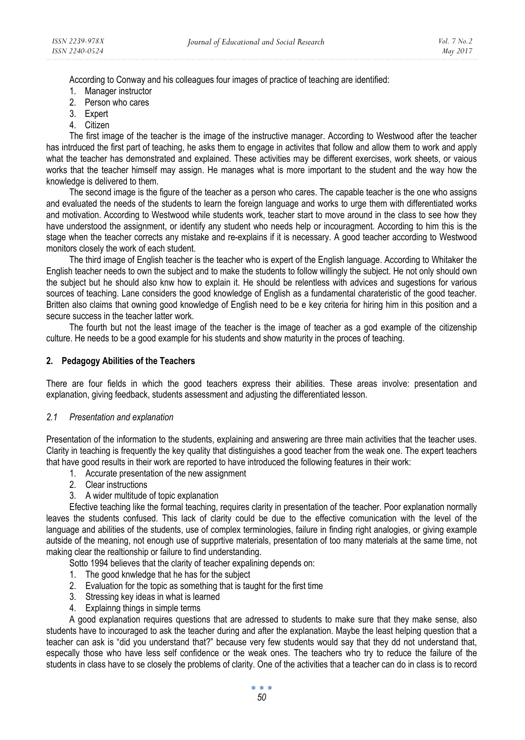According to Conway and his colleagues four images of practice of teaching are identified:

- 1. Manager instructor
- 2. Person who cares
- 3. Expert
- 4. Citizen

The first image of the teacher is the image of the instructive manager. According to Westwood after the teacher has intrduced the first part of teaching, he asks them to engage in activites that follow and allow them to work and apply what the teacher has demonstrated and explained. These activities may be different exercises, work sheets, or vaious works that the teacher himself may assign. He manages what is more important to the student and the way how the knowledge is delivered to them.

The second image is the figure of the teacher as a person who cares. The capable teacher is the one who assigns and evaluated the needs of the students to learn the foreign language and works to urge them with differentiated works and motivation. According to Westwood while students work, teacher start to move around in the class to see how they have understood the assignment, or identify any student who needs help or incouragment. According to him this is the stage when the teacher corrects any mistake and re-explains if it is necessary. A good teacher according to Westwood monitors closely the work of each student.

The third image of English teacher is the teacher who is expert of the English language. According to Whitaker the English teacher needs to own the subject and to make the students to follow willingly the subject. He not only should own the subject but he should also knw how to explain it. He should be relentless with advices and sugestions for various sources of teaching. Lane considers the good knowledge of English as a fundamental charateristic of the good teacher. Britten also claims that owning good knowledge of English need to be e key criteria for hiring him in this position and a secure success in the teacher latter work.

The fourth but not the least image of the teacher is the image of teacher as a god example of the citizenship culture. He needs to be a good example for his students and show maturity in the proces of teaching.

## **2. Pedagogy Abilities of the Teachers**

There are four fields in which the good teachers express their abilities. These areas involve: presentation and explanation, giving feedback, students assessment and adjusting the differentiated lesson.

#### *2.1 Presentation and explanation*

Presentation of the information to the students, explaining and answering are three main activities that the teacher uses. Clarity in teaching is frequently the key quality that distinguishes a good teacher from the weak one. The expert teachers that have good results in their work are reported to have introduced the following features in their work:

- 1. Accurate presentation of the new assignment
- 2. Clear instructions
- 3. A wider multitude of topic explanation

Efective teaching like the formal teaching, requires clarity in presentation of the teacher. Poor explanation normally leaves the students confused. This lack of clarity could be due to the effective comunication with the level of the language and abilities of the students, use of complex terminologies, failure in finding right analogies, or giving example autside of the meaning, not enough use of supprtive materials, presentation of too many materials at the same time, not making clear the realtionship or failure to find understanding.

Sotto 1994 believes that the clarity of teacher expalining depends on:

- 1. The good knwledge that he has for the subject
- 2. Evaluation for the topic as something that is taught for the first time
- 3. Stressing key ideas in what is learned
- 4. Explainng things in simple terms

A good explanation requires questions that are adressed to students to make sure that they make sense, also students have to incouraged to ask the teacher during and after the explanation. Maybe the least helping question that a teacher can ask is "did you understand that?" because very few students would say that they dd not understand that, especally those who have less self confidence or the weak ones. The teachers who try to reduce the failure of the students in class have to se closely the problems of clarity. One of the activities that a teacher can do in class is to record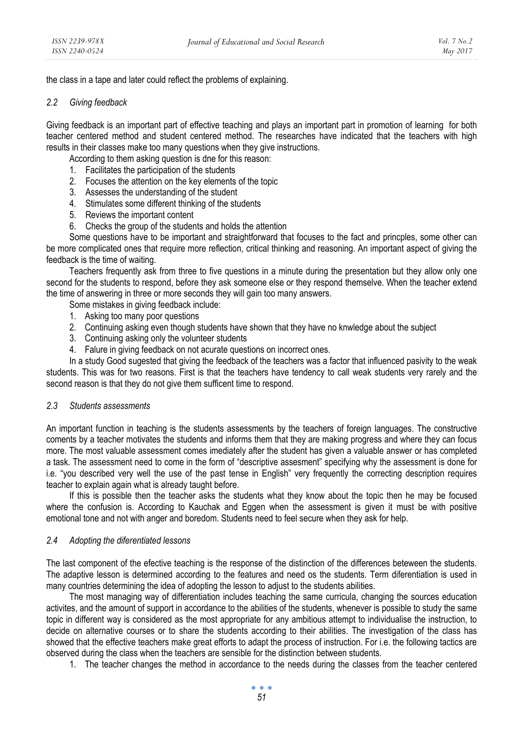the class in a tape and later could reflect the problems of explaining.

#### *2.2 Giving feedback*

Giving feedback is an important part of effective teaching and plays an important part in promotion of learning for both teacher centered method and student centered method. The researches have indicated that the teachers with high results in their classes make too many questions when they give instructions.

According to them asking question is dne for this reason:

- 1. Facilitates the participation of the students
- 2. Focuses the attention on the key elements of the topic
- 3. Assesses the understanding of the student
- 4. Stimulates some different thinking of the students
- 5. Reviews the important content
- 6. Checks the group of the students and holds the attention

Some questions have to be important and straightforward that focuses to the fact and princples, some other can be more complicated ones that require more reflection, critical thinking and reasoning. An important aspect of giving the feedback is the time of waiting.

Teachers frequently ask from three to five questions in a minute during the presentation but they allow only one second for the students to respond, before they ask someone else or they respond themselve. When the teacher extend the time of answering in three or more seconds they will gain too many answers.

- Some mistakes in giving feedback include:
- 1. Asking too many poor questions
- 2. Continuing asking even though students have shown that they have no knwledge about the subject
- 3. Continuing asking only the volunteer students
- 4. Falure in giving feedback on not acurate questions on incorrect ones.

In a study Good sugested that giving the feedback of the teachers was a factor that influenced pasivity to the weak students. This was for two reasons. First is that the teachers have tendency to call weak students very rarely and the second reason is that they do not give them sufficent time to respond.

### *2.3 Students assessments*

An important function in teaching is the students assessments by the teachers of foreign languages. The constructive coments by a teacher motivates the students and informs them that they are making progress and where they can focus more. The most valuable assessment comes imediately after the student has given a valuable answer or has completed a task. The assessment need to come in the form of "descriptive assesment" specifying why the assessment is done for i.e. "you described very well the use of the past tense in English" very frequently the correcting description requires teacher to explain again what is already taught before.

If this is possible then the teacher asks the students what they know about the topic then he may be focused where the confusion is. According to Kauchak and Eggen when the assessment is given it must be with positive emotional tone and not with anger and boredom. Students need to feel secure when they ask for help.

#### *2.4 Adopting the diferentiated lessons*

The last component of the efective teaching is the response of the distinction of the differences beteween the students. The adaptive lesson is determined according to the features and need os the students. Term diferentiation is used in many countries determining the idea of adopting the lesson to adjust to the students abilities.

The most managing way of differentiation includes teaching the same curricula, changing the sources education activites, and the amount of support in accordance to the abilities of the students, whenever is possible to study the same topic in different way is considered as the most appropriate for any ambitious attempt to individualise the instruction, to decide on alternative courses or to share the students according to their abilities. The investigation of the class has showed that the effective teachers make great efforts to adapt the process of instruction. For i.e. the following tactics are observed during the class when the teachers are sensible for the distinction between students.

1. The teacher changes the method in accordance to the needs during the classes from the teacher centered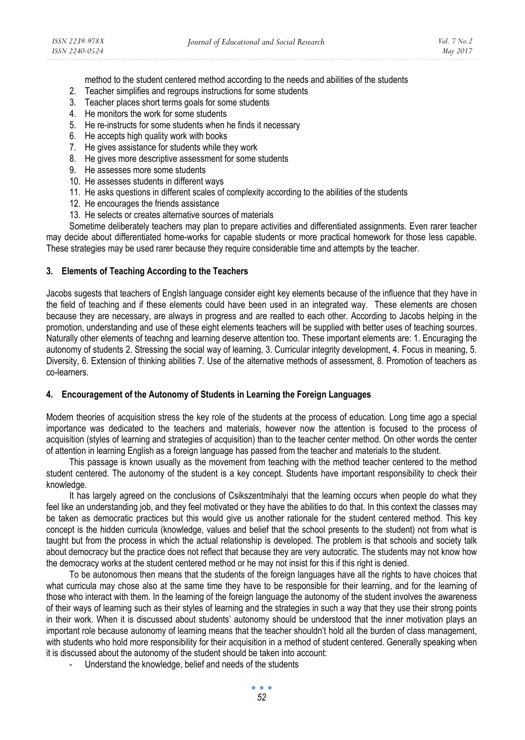method to the student centered method according to the needs and abilities of the students

- 2. Teacher simplifies and regroups instructions for some students
- 3. Teacher places short terms goals for some students
- 4. He monitors the work for some students
- 5. He re-instructs for some students when he finds it necessary
- 6. He accepts high quality work with books
- 7. He gives assistance for students while they work
- 8. He gives more descriptive assessment for some students
- 9. He assesses more some students
- 10. He assesses students in different ways
- 11. He asks questions in different scales of complexity according to the abilities of the students
- 12. He encourages the friends assistance
- 13. He selects or creates alternative sources of materials

Sometime deliberately teachers may plan to prepare activities and differentiated assignments. Even rarer teacher may decide about differentiated home-works for capable students or more practical homework for those less capable. These strategies may be used rarer because they require considerable time and attempts by the teacher.

#### **3. Elements of Teaching According to the Teachers**

Jacobs sugests that teachers of Englsh language consider eight key elements because of the influence that they have in the field of teaching and if these elements could have been used in an integrated way. These elements are chosen because they are necessary, are always in progress and are realted to each other. According to Jacobs helping in the promotion, understanding and use of these eight elements teachers will be supplied with better uses of teaching sources. Naturally other elements of teachng and learning deserve attention too. These important elements are: 1. Encuraging the autonomy of students 2. Stressing the social way of learning, 3. Curricular integrity development, 4. Focus in meaning, 5. Diversity, 6. Extension of thinking abilities 7. Use of the alternative methods of assessment, 8. Promotion of teachers as co-learners.

#### **4. Encouragement of the Autonomy of Students in Learning the Foreign Languages**

Modern theories of acquisition stress the key role of the students at the process of education. Long time ago a special importance was dedicated to the teachers and materials, however now the attention is focused to the process of acquisition (styles of learning and strategies of acquisition) than to the teacher center method. On other words the center of attention in learning English as a foreign language has passed from the teacher and materials to the student.

This passage is known usually as the movement from teaching with the method teacher centered to the method student centered. The autonomy of the student is a key concept. Students have important responsibility to check their knowledge.

It has largely agreed on the conclusions of Csikszentmihalyi that the learning occurs when people do what they feel like an understanding job, and they feel motivated or they have the abilities to do that. In this context the classes may be taken as democratic practices but this would give us another rationale for the student centered method. This key concept is the hidden curricula (knowledge, values and belief that the school presents to the student) not from what is taught but from the process in which the actual relationship is developed. The problem is that schools and society talk about democracy but the practice does not reflect that because they are very autocratic. The students may not know how the democracy works at the student centered method or he may not insist for this if this right is denied.

To be autonomous then means that the students of the foreign languages have all the rights to have choices that what curricula may chose also at the same time they have to be responsible for their learning, and for the learning of those who interact with them. In the learning of the foreign language the autonomy of the student involves the awareness of their ways of learning such as their styles of learning and the strategies in such a way that they use their strong points in their work. When it is discussed about students' autonomy should be understood that the inner motivation plays an important role because autonomy of learning means that the teacher shouldn't hold all the burden of class management, with students who hold more responsibility for their acquisition in a method of student centered. Generally speaking when it is discussed about the autonomy of the student should be taken into account:

Understand the knowledge, belief and needs of the students